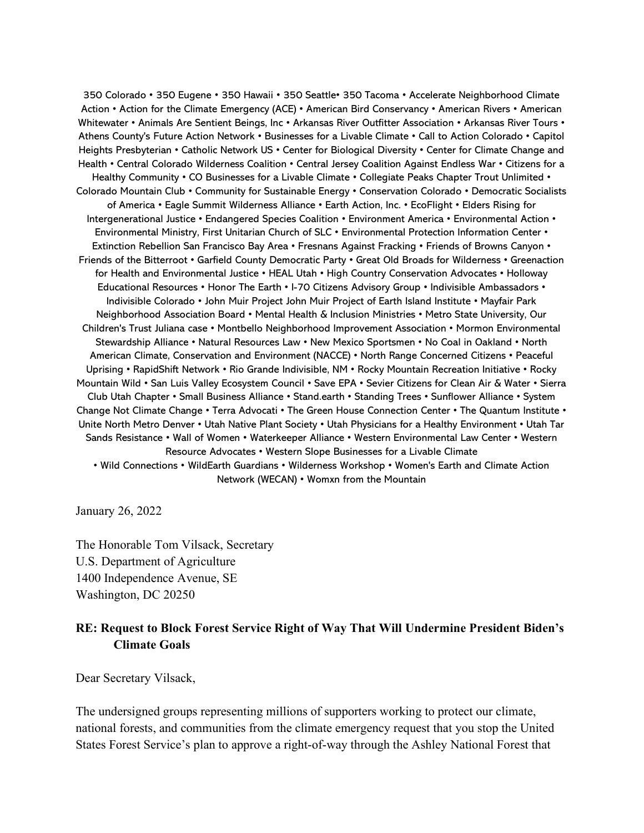350 Colorado • 350 Eugene • 350 Hawaii • 350 Seattle• 350 Tacoma • Accelerate Neighborhood Climate Action • Action for the Climate Emergency (ACE) • American Bird Conservancy • American Rivers • American Whitewater • Animals Are Sentient Beings, Inc • Arkansas River Outfitter Association • Arkansas River Tours • Athens County's Future Action Network • Businesses for a Livable Climate • Call to Action Colorado • Capitol Heights Presbyterian • Catholic Network US • Center for Biological Diversity • Center for Climate Change and Health • Central Colorado Wilderness Coalition • Central Jersey Coalition Against Endless War • Citizens for a Healthy Community • CO Businesses for a Livable Climate • Collegiate Peaks Chapter Trout Unlimited • Colorado Mountain Club • Community for Sustainable Energy • Conservation Colorado • Democratic Socialists of America • Eagle Summit Wilderness Alliance • Earth Action, Inc. • EcoFlight • Elders Rising for Intergenerational Justice • Endangered Species Coalition • Environment America • Environmental Action • Environmental Ministry, First Unitarian Church of SLC • Environmental Protection Information Center • Extinction Rebellion San Francisco Bay Area • Fresnans Against Fracking • Friends of Browns Canyon • Friends of the Bitterroot • Garfield County Democratic Party • Great Old Broads for Wilderness • Greenaction for Health and Environmental Justice • HEAL Utah • High Country Conservation Advocates • Holloway Educational Resources • Honor The Earth • I-70 Citizens Advisory Group • Indivisible Ambassadors • Indivisible Colorado • John Muir Project John Muir Project of Earth Island Institute • Mayfair Park Neighborhood Association Board • Mental Health & Inclusion Ministries • Metro State University, Our Children's Trust Juliana case • Montbello Neighborhood Improvement Association • Mormon Environmental Stewardship Alliance • Natural Resources Law • New Mexico Sportsmen • No Coal in Oakland • North American Climate, Conservation and Environment (NACCE) • North Range Concerned Citizens • Peaceful Uprising • RapidShift Network • Rio Grande Indivisible, NM • Rocky Mountain Recreation Initiative • Rocky Mountain Wild • San Luis Valley Ecosystem Council • Save EPA • Sevier Citizens for Clean Air & Water • Sierra Club Utah Chapter • Small Business Alliance • Stand.earth • Standing Trees • Sunflower Alliance • System Change Not Climate Change • Terra Advocati • The Green House Connection Center • The Quantum Institute • Unite North Metro Denver • Utah Native Plant Society • Utah Physicians for a Healthy Environment • Utah Tar Sands Resistance • Wall of Women • Waterkeeper Alliance • Western Environmental Law Center • Western Resource Advocates • Western Slope Businesses for a Livable Climate • Wild Connections • WildEarth Guardians • Wilderness Workshop • Women's Earth and Climate Action Network (WECAN) • Womxn from the Mountain

January 26, 2022

The Honorable Tom Vilsack, Secretary U.S. Department of Agriculture 1400 Independence Avenue, SE Washington, DC 20250

## RE: Request to Block Forest Service Right of Way That Will Undermine President Biden's Climate Goals

Dear Secretary Vilsack,

The undersigned groups representing millions of supporters working to protect our climate, national forests, and communities from the climate emergency request that you stop the United States Forest Service's plan to approve a right-of-way through the Ashley National Forest that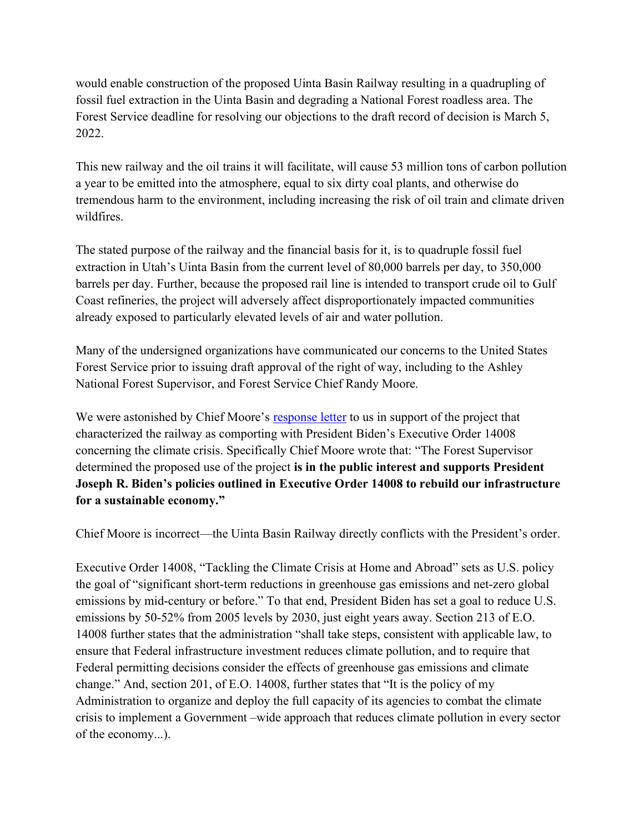would enable construction of the proposed Uinta Basin Railway resulting in a quadrupling of fossil fuel extraction in the Uinta Basin and degrading a National Forest roadless area. The Forest Service deadline for resolving our objections to the draft record of decision is March 5, 2022.

This new railway and the oil trains it will facilitate, will cause 53 million tons of carbon pollution a year to be emitted into the atmosphere, equal to six dirty coal plants, and otherwise do tremendous harm to the environment, including increasing the risk of oil train and climate driven wildfires.

The stated purpose of the railway and the financial basis for it, is to quadruple fossil fuel extraction in Utah's Uinta Basin from the current level of 80,000 barrels per day, to 350,000 barrels per day. Further, because the proposed rail line is intended to transport crude oil to Gulf Coast refineries, the project will adversely affect disproportionately impacted communities already exposed to particularly elevated levels of air and water pollution.

Many of the undersigned organizations have communicated our concerns to the United States Forest Service prior to issuing draft approval of the right of way, including to the Ashley National Forest Supervisor, and Forest Service Chief Randy Moore.

We were astonished by Chief Moore's response letter to us in support of the project that characterized the railway as comporting with President Biden's Executive Order 14008 concerning the climate crisis. Specifically Chief Moore wrote that: "The Forest Supervisor determined the proposed use of the project is in the public interest and supports President Joseph R. Biden's policies outlined in Executive Order 14008 to rebuild our infrastructure for a sustainable economy."

Chief Moore is incorrect—the Uinta Basin Railway directly conflicts with the President's order.

Executive Order 14008, "Tackling the Climate Crisis at Home and Abroad" sets as U.S. policy the goal of "significant short-term reductions in greenhouse gas emissions and net-zero global emissions by mid-century or before." To that end, President Biden has set a goal to reduce U.S. emissions by 50-52% from 2005 levels by 2030, just eight years away. Section 213 of E.O. 14008 further states that the administration "shall take steps, consistent with applicable law, to ensure that Federal infrastructure investment reduces climate pollution, and to require that Federal permitting decisions consider the effects of greenhouse gas emissions and climate change." And, section 201, of E.O. 14008, further states that "It is the policy of my Administration to organize and deploy the full capacity of its agencies to combat the climate crisis to implement a Government –wide approach that reduces climate pollution in every sector of the economy...).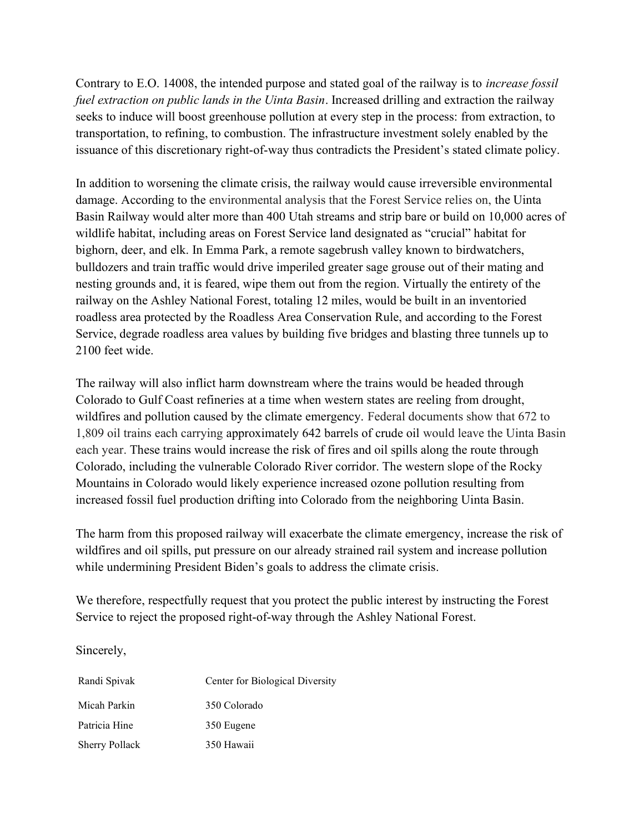Contrary to E.O. 14008, the intended purpose and stated goal of the railway is to increase fossil fuel extraction on public lands in the Uinta Basin. Increased drilling and extraction the railway seeks to induce will boost greenhouse pollution at every step in the process: from extraction, to transportation, to refining, to combustion. The infrastructure investment solely enabled by the issuance of this discretionary right-of-way thus contradicts the President's stated climate policy.

In addition to worsening the climate crisis, the railway would cause irreversible environmental damage. According to the environmental analysis that the Forest Service relies on, the Uinta Basin Railway would alter more than 400 Utah streams and strip bare or build on 10,000 acres of wildlife habitat, including areas on Forest Service land designated as "crucial" habitat for bighorn, deer, and elk. In Emma Park, a remote sagebrush valley known to birdwatchers, bulldozers and train traffic would drive imperiled greater sage grouse out of their mating and nesting grounds and, it is feared, wipe them out from the region. Virtually the entirety of the railway on the Ashley National Forest, totaling 12 miles, would be built in an inventoried roadless area protected by the Roadless Area Conservation Rule, and according to the Forest Service, degrade roadless area values by building five bridges and blasting three tunnels up to 2100 feet wide.

The railway will also inflict harm downstream where the trains would be headed through Colorado to Gulf Coast refineries at a time when western states are reeling from drought, wildfires and pollution caused by the climate emergency. Federal documents show that 672 to 1,809 oil trains each carrying approximately 642 barrels of crude oil would leave the Uinta Basin each year. These trains would increase the risk of fires and oil spills along the route through Colorado, including the vulnerable Colorado River corridor. The western slope of the Rocky Mountains in Colorado would likely experience increased ozone pollution resulting from increased fossil fuel production drifting into Colorado from the neighboring Uinta Basin.

The harm from this proposed railway will exacerbate the climate emergency, increase the risk of wildfires and oil spills, put pressure on our already strained rail system and increase pollution while undermining President Biden's goals to address the climate crisis.

We therefore, respectfully request that you protect the public interest by instructing the Forest Service to reject the proposed right-of-way through the Ashley National Forest.

Sincerely,

| Randi Spivak          | Center for Biological Diversity |
|-----------------------|---------------------------------|
| Micah Parkin          | 350 Colorado                    |
| Patricia Hine         | 350 Eugene                      |
| <b>Sherry Pollack</b> | 350 Hawaii                      |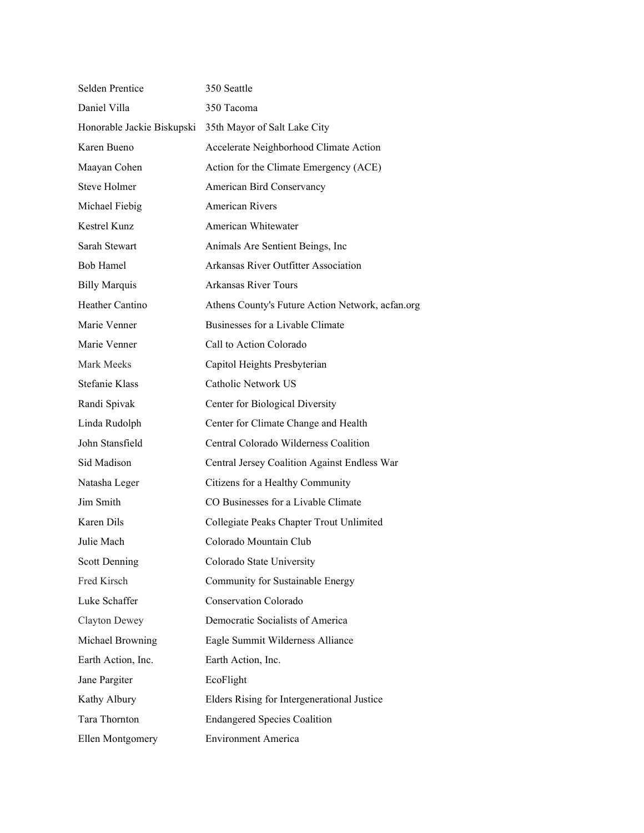| Selden Prentice            | 350 Seattle                                      |
|----------------------------|--------------------------------------------------|
| Daniel Villa               | 350 Tacoma                                       |
| Honorable Jackie Biskupski | 35th Mayor of Salt Lake City                     |
| Karen Bueno                | Accelerate Neighborhood Climate Action           |
| Maayan Cohen               | Action for the Climate Emergency (ACE)           |
| Steve Holmer               | American Bird Conservancy                        |
| Michael Fiebig             | American Rivers                                  |
| Kestrel Kunz               | American Whitewater                              |
| Sarah Stewart              | Animals Are Sentient Beings, Inc                 |
| Bob Hamel                  | Arkansas River Outfitter Association             |
| <b>Billy Marquis</b>       | Arkansas River Tours                             |
| Heather Cantino            | Athens County's Future Action Network, acfan.org |
| Marie Venner               | Businesses for a Livable Climate                 |
| Marie Venner               | Call to Action Colorado                          |
| Mark Meeks                 | Capitol Heights Presbyterian                     |
| Stefanie Klass             | Catholic Network US                              |
| Randi Spivak               | Center for Biological Diversity                  |
| Linda Rudolph              | Center for Climate Change and Health             |
| John Stansfield            | Central Colorado Wilderness Coalition            |
| Sid Madison                | Central Jersey Coalition Against Endless War     |
| Natasha Leger              | Citizens for a Healthy Community                 |
| Jim Smith                  | CO Businesses for a Livable Climate              |
| Karen Dils                 | Collegiate Peaks Chapter Trout Unlimited         |
| Julie Mach                 | Colorado Mountain Club                           |
| Scott Denning              | Colorado State University                        |
| Fred Kirsch                | Community for Sustainable Energy                 |
| Luke Schaffer              | <b>Conservation Colorado</b>                     |
| Clayton Dewey              | Democratic Socialists of America                 |
| Michael Browning           | Eagle Summit Wilderness Alliance                 |
| Earth Action, Inc.         | Earth Action, Inc.                               |
| Jane Pargiter              | EcoFlight                                        |
| Kathy Albury               | Elders Rising for Intergenerational Justice      |
| Tara Thornton              | <b>Endangered Species Coalition</b>              |
| Ellen Montgomery           | <b>Environment America</b>                       |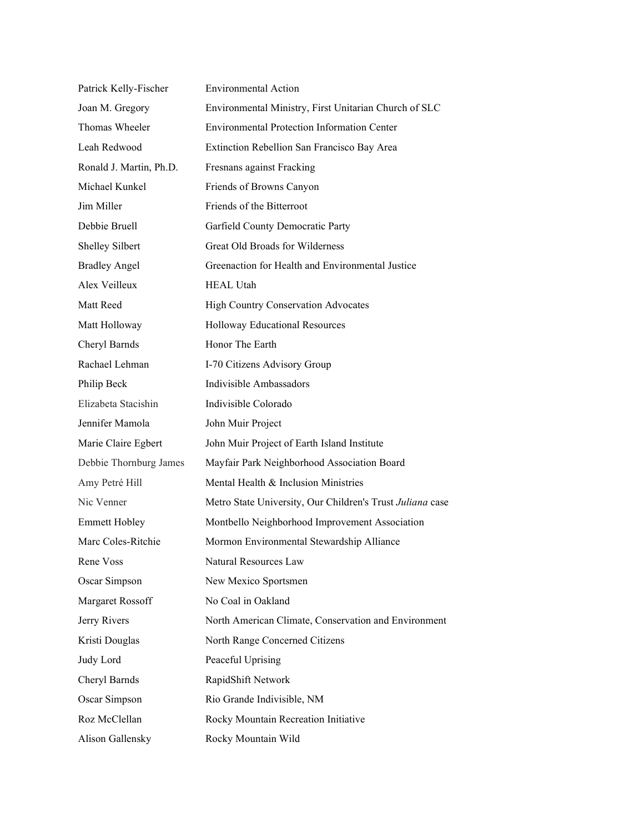| Patrick Kelly-Fischer   | <b>Environmental Action</b>                               |
|-------------------------|-----------------------------------------------------------|
| Joan M. Gregory         | Environmental Ministry, First Unitarian Church of SLC     |
| Thomas Wheeler          | <b>Environmental Protection Information Center</b>        |
| Leah Redwood            | Extinction Rebellion San Francisco Bay Area               |
| Ronald J. Martin, Ph.D. | Fresnans against Fracking                                 |
| Michael Kunkel          | Friends of Browns Canyon                                  |
| Jim Miller              | Friends of the Bitterroot                                 |
| Debbie Bruell           | Garfield County Democratic Party                          |
| Shelley Silbert         | Great Old Broads for Wilderness                           |
| <b>Bradley Angel</b>    | Greenaction for Health and Environmental Justice          |
| Alex Veilleux           | <b>HEAL Utah</b>                                          |
| Matt Reed               | <b>High Country Conservation Advocates</b>                |
| Matt Holloway           | <b>Holloway Educational Resources</b>                     |
| Cheryl Barnds           | Honor The Earth                                           |
| Rachael Lehman          | I-70 Citizens Advisory Group                              |
| Philip Beck             | Indivisible Ambassadors                                   |
| Elizabeta Stacishin     | Indivisible Colorado                                      |
| Jennifer Mamola         | John Muir Project                                         |
| Marie Claire Egbert     | John Muir Project of Earth Island Institute               |
| Debbie Thornburg James  | Mayfair Park Neighborhood Association Board               |
| Amy Petré Hill          | Mental Health & Inclusion Ministries                      |
| Nic Venner              | Metro State University, Our Children's Trust Juliana case |
| <b>Emmett Hobley</b>    | Montbello Neighborhood Improvement Association            |
| Marc Coles-Ritchie      | Mormon Environmental Stewardship Alliance                 |
| Rene Voss               | Natural Resources Law                                     |
| Oscar Simpson           | New Mexico Sportsmen                                      |
| Margaret Rossoff        | No Coal in Oakland                                        |
| Jerry Rivers            | North American Climate, Conservation and Environment      |
| Kristi Douglas          | North Range Concerned Citizens                            |
| Judy Lord               | Peaceful Uprising                                         |
| Cheryl Barnds           | RapidShift Network                                        |
| Oscar Simpson           | Rio Grande Indivisible, NM                                |
| Roz McClellan           | Rocky Mountain Recreation Initiative                      |
| Alison Gallensky        | Rocky Mountain Wild                                       |